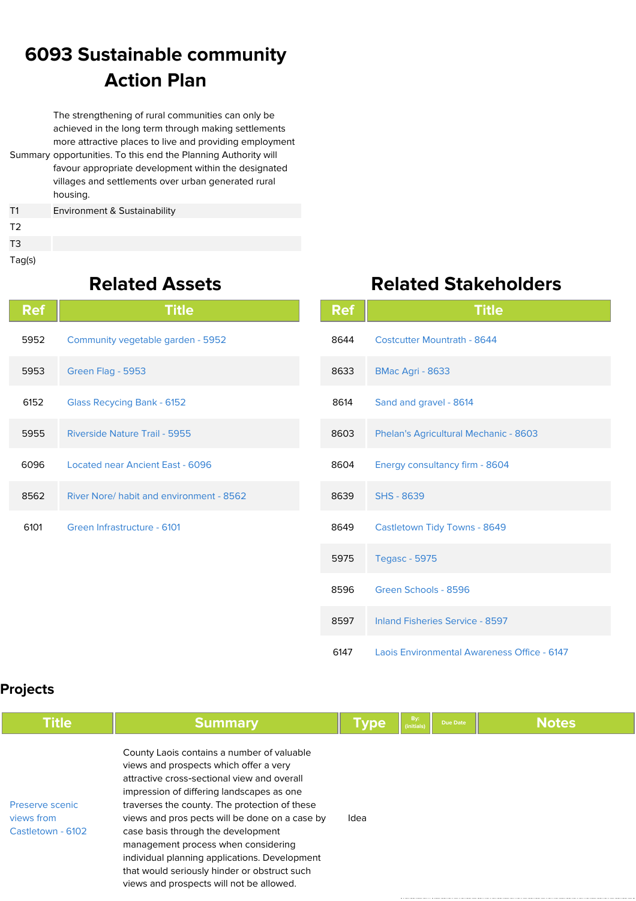## **6093 Sustainable community Action Plan**

Summary opportunities. To this end the Planning Authority will The strengthening of rural communities can only be achieved in the long term through making settlements more attractive places to live and providing employment favour appropriate development within the designated villages and settlements over urban generated rural housing. T1 Environment & Sustainability

T3 Tag(s)

T2

## **Related Assets**

| <b>Ref</b> | <b>Title</b>                             |
|------------|------------------------------------------|
| 5952       | Community vegetable garden - 5952        |
| 5953       | Green Flag - 5953                        |
| 6152       | <b>Glass Recycing Bank - 6152</b>        |
| 5955       | Riverside Nature Trail - 5955            |
| 6096       | Located near Ancient East - 6096         |
| 8562       | River Nore/ habit and environment - 8562 |
| 6101       | Green Infrastructure - 6101              |
|            |                                          |

|  | <b>Related Stakeholders</b> |
|--|-----------------------------|
|  |                             |

| Ref  | Title                                       |
|------|---------------------------------------------|
| 8644 | <b>Costcutter Mountrath - 8644</b>          |
| 8633 | <b>BMac Agri - 8633</b>                     |
| 8614 | Sand and gravel - 8614                      |
| 8603 | Phelan's Agricultural Mechanic - 8603       |
| 8604 | Energy consultancy firm - 8604              |
| 8639 | <b>SHS - 8639</b>                           |
| 8649 | <b>Castletown Tidy Towns - 8649</b>         |
| 5975 | <b>Tegasc - 5975</b>                        |
| 8596 | Green Schools - 8596                        |
| 8597 | <b>Inland Fisheries Service - 8597</b>      |
| 6147 | Laois Environmental Awareness Office - 6147 |

## **Projects**

| <b>Title</b>                                       | <b>Summary</b>                                                                                                                                                                                                                                                                                                                                                                                                                                                                                                | <b>Type</b> | By:<br>(initials | <b>Due Date</b> | <b>Notes</b> |
|----------------------------------------------------|---------------------------------------------------------------------------------------------------------------------------------------------------------------------------------------------------------------------------------------------------------------------------------------------------------------------------------------------------------------------------------------------------------------------------------------------------------------------------------------------------------------|-------------|------------------|-----------------|--------------|
| Preserve scenic<br>views from<br>Castletown - 6102 | County Laois contains a number of valuable<br>views and prospects which offer a very<br>attractive cross-sectional view and overall<br>impression of differing landscapes as one<br>traverses the county. The protection of these<br>views and pros pects will be done on a case by<br>case basis through the development<br>management process when considering<br>individual planning applications. Development<br>that would seriously hinder or obstruct such<br>views and prospects will not be allowed. | Idea        |                  |                 |              |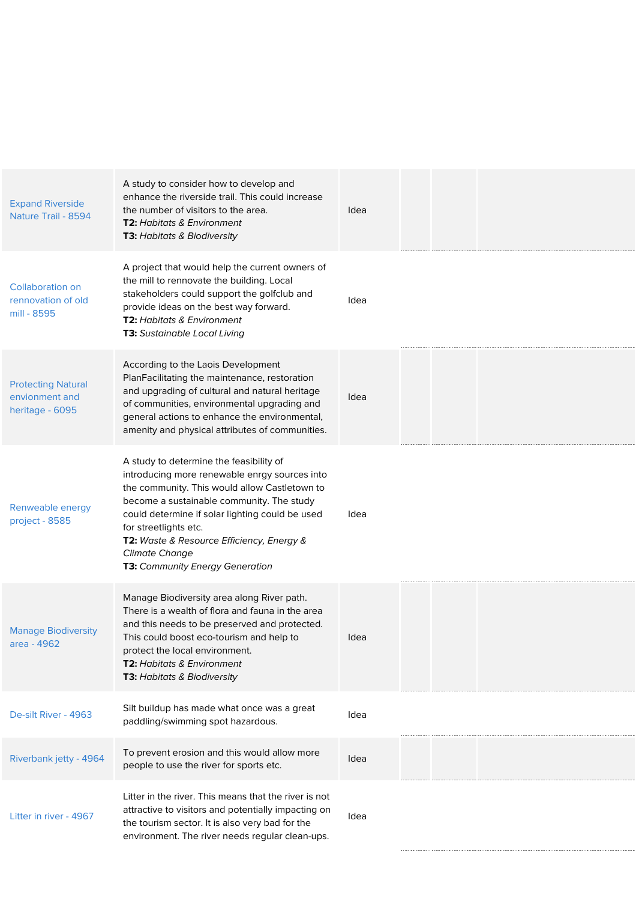| <b>Expand Riverside</b><br>Nature Trail - 8594                 | A study to consider how to develop and<br>enhance the riverside trail. This could increase<br>the number of visitors to the area.<br><b>T2:</b> Habitats & Environment<br>T3: Habitats & Biodiversity                                                                                                                                                                              | Idea |  |  |  |
|----------------------------------------------------------------|------------------------------------------------------------------------------------------------------------------------------------------------------------------------------------------------------------------------------------------------------------------------------------------------------------------------------------------------------------------------------------|------|--|--|--|
| <b>Collaboration on</b><br>rennovation of old<br>mill - 8595   | A project that would help the current owners of<br>the mill to rennovate the building. Local<br>stakeholders could support the golfclub and<br>provide ideas on the best way forward.<br>T2: Habitats & Environment<br><b>T3:</b> Sustainable Local Living                                                                                                                         | Idea |  |  |  |
| <b>Protecting Natural</b><br>envionment and<br>heritage - 6095 | According to the Laois Development<br>PlanFacilitating the maintenance, restoration<br>and upgrading of cultural and natural heritage<br>of communities, environmental upgrading and<br>general actions to enhance the environmental,<br>amenity and physical attributes of communities.                                                                                           | Idea |  |  |  |
| Renweable energy<br>project - 8585                             | A study to determine the feasibility of<br>introducing more renewable enrgy sources into<br>the community. This would allow Castletown to<br>become a sustainable community. The study<br>could determine if solar lighting could be used<br>for streetlights etc.<br>T2: Waste & Resource Efficiency, Energy &<br><b>Climate Change</b><br><b>T3:</b> Community Energy Generation | Idea |  |  |  |
| <b>Manage Biodiversity</b><br>area - 4962                      | Manage Biodiversity area along River path.<br>There is a wealth of flora and fauna in the area<br>and this needs to be preserved and protected.<br>This could boost eco-tourism and help to<br>protect the local environment.<br><b>T2: Habitats &amp; Environment</b><br>T3: Habitats & Biodiversity                                                                              | Idea |  |  |  |
| De-silt River - 4963                                           | Silt buildup has made what once was a great<br>paddling/swimming spot hazardous.                                                                                                                                                                                                                                                                                                   | Idea |  |  |  |
| Riverbank jetty - 4964                                         | To prevent erosion and this would allow more<br>people to use the river for sports etc.                                                                                                                                                                                                                                                                                            | Idea |  |  |  |
| Litter in river - 4967                                         | Litter in the river. This means that the river is not<br>attractive to visitors and potentially impacting on<br>the tourism sector. It is also very bad for the<br>environment. The river needs regular clean-ups.                                                                                                                                                                 | Idea |  |  |  |